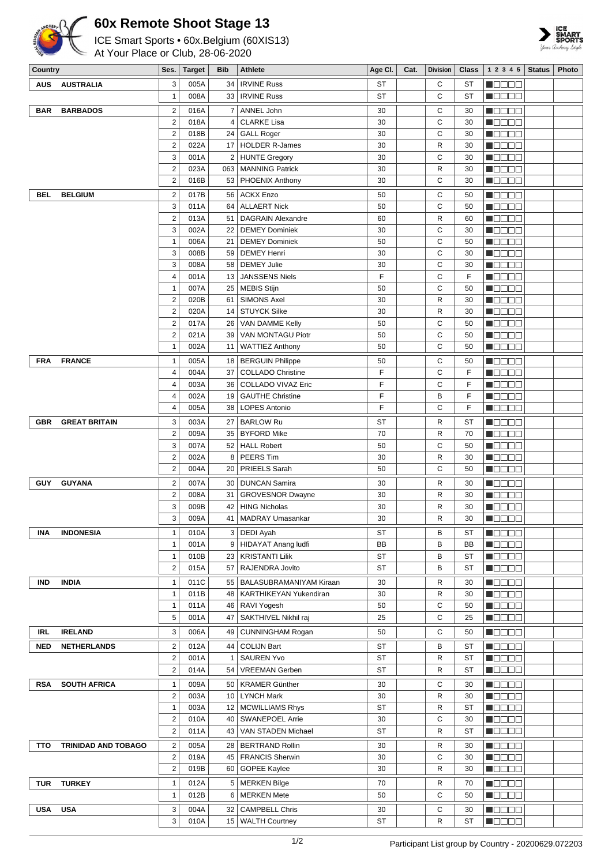

## **60x Remote Shoot Stage 13**

ICE Smart Sports • 60x.Belgium (60XIS13)

At Your Place or Club, 28-06-2020



| Country    |                            | Ses.                          | <b>Target</b> | Bib          | Athlete                                         | Age CI.   | Cat. | <b>Division</b>   | Class     | 1 2 3 4 5                                               | Status | Photo |
|------------|----------------------------|-------------------------------|---------------|--------------|-------------------------------------------------|-----------|------|-------------------|-----------|---------------------------------------------------------|--------|-------|
| AUS        | <b>AUSTRALIA</b>           | 3                             | 005A          | 34           | <b>IRVINE Russ</b>                              | <b>ST</b> |      | C                 | ST        | M S S S S                                               |        |       |
|            |                            | $\mathbf{1}$                  | 008A          | 33 I         | <b>IRVINE Russ</b>                              | ST        |      | C                 | ST        | HOOOO                                                   |        |       |
| BAR        | <b>BARBADOS</b>            | 2                             | 016A          | 7            | ANNEL John                                      | 30        |      | C                 | 30        | 80000                                                   |        |       |
|            |                            | 2                             | 018A          | 4            | <b>CLARKE Lisa</b>                              | 30        |      | C                 | 30        | N E E E E                                               |        |       |
|            |                            | $\overline{2}$                | 018B          |              | 24 GALL Roger                                   | 30        |      | C                 | 30        | N DE BE                                                 |        |       |
|            |                            | $\overline{2}$                | 022A          | 17           | <b>HOLDER R-James</b>                           | 30        |      | $\mathsf{R}$      | 30        | N E E E E                                               |        |       |
|            |                            | 3                             | 001A          | 2            | HUNTE Gregory                                   | 30        |      | C                 | 30        | N O O O O                                               |        |       |
|            |                            | $\overline{2}$<br>2           | 023A<br>016B  | 53           | 063   MANNING Patrick<br>PHOENIX Anthony        | 30<br>30  |      | $\mathsf{R}$<br>C | 30<br>30  | n 880a<br>$\blacksquare$ $\square$ $\square$ $\square$  |        |       |
|            |                            |                               |               |              |                                                 |           |      |                   |           |                                                         |        |       |
| BEL        | <b>BELGIUM</b>             | $\mathbf 2$                   | 017B          | 56           | <b>ACKX Enzo</b>                                | 50        |      | C                 | 50        | n Booo                                                  |        |       |
|            |                            | 3<br>2                        | 011A<br>013A  | 64<br>51     | <b>ALLAERT Nick</b><br><b>DAGRAIN Alexandre</b> | 50<br>60  |      | C<br>R            | 50<br>60  | n oo oo<br>$\blacksquare$ $\square$ $\square$ $\square$ |        |       |
|            |                            | 3                             | 002A          | 22           | <b>DEMEY Dominiek</b>                           | 30        |      | C                 | 30        | <b>MODOO</b>                                            |        |       |
|            |                            | $\mathbf{1}$                  | 006A          | 21           | <b>DEMEY Dominiek</b>                           | 50        |      | C                 | 50        | MOOOO                                                   |        |       |
|            |                            | 3                             | 008B          | 59           | <b>DEMEY Henri</b>                              | 30        |      | C                 | 30        | N DE SE                                                 |        |       |
|            |                            | 3                             | 008A          | 58           | <b>DEMEY Julie</b>                              | 30        |      | C                 | 30        | n de eo                                                 |        |       |
|            |                            | $\overline{4}$                | 001A          | 13           | <b>JANSSENS Niels</b>                           | F         |      | C                 | F         | Maaaa                                                   |        |       |
|            |                            | $\mathbf{1}$                  | 007A          | 25           | <b>MEBIS Stijn</b>                              | 50        |      | C                 | 50        | MODOO                                                   |        |       |
|            |                            | $\overline{2}$                | 020B          | 61           | <b>SIMONS Axel</b>                              | 30        |      | R                 | 30        | n on on                                                 |        |       |
|            |                            | $\overline{\mathbf{c}}$       | 020A          | 14           | <b>STUYCK Silke</b>                             | 30        |      | R                 | 30        | $\blacksquare$ $\square$ $\square$ $\square$            |        |       |
|            |                            | $\overline{2}$<br>2           | 017A<br>021A  | 26           | VAN DAMME Kelly<br>VAN MONTAGU Piotr            | 50<br>50  |      | C                 | 50        | M OO O O                                                |        |       |
|            |                            | $\mathbf{1}$                  | 002A          | 39<br>11     |                                                 | 50        |      | C<br>C            | 50<br>50  | M OO OO<br><b>M</b> OOOO                                |        |       |
|            |                            |                               |               |              | <b>WATTIEZ Anthony</b>                          |           |      |                   |           |                                                         |        |       |
| <b>FRA</b> | <b>FRANCE</b>              | $\mathbf{1}$                  | 005A          | 18           | <b>BERGUIN Philippe</b>                         | 50<br>F   |      | C<br>C            | 50<br>F   | M OO OO                                                 |        |       |
|            |                            | $\overline{4}$<br>4           | 004A<br>003A  | 37<br>36     | <b>COLLADO Christine</b><br>COLLADO VIVAZ Eric  | F         |      | C                 | F         | N DE E E<br><b>M</b> OOOO                               |        |       |
|            |                            | 4                             | 002A          | 19           | <b>GAUTHE Christine</b>                         | F         |      | B                 | F         | M OO OO                                                 |        |       |
|            |                            | 4                             | 005A          | 38           | <b>LOPES Antonio</b>                            | F         |      | C                 | F         | MOOOO                                                   |        |       |
| <b>GBR</b> | <b>GREAT BRITAIN</b>       | 3                             | 003A          | 27           | <b>BARLOW Ru</b>                                | <b>ST</b> |      | R                 | <b>ST</b> | n da a a                                                |        |       |
|            |                            | 2                             | 009A          | 35           | <b>BYFORD Mike</b>                              | 70        |      | $\mathsf{R}$      | 70        | <b>M</b> OO OO                                          |        |       |
|            |                            | 3                             | 007A          | 52           | <b>HALL Robert</b>                              | 50        |      | C                 | 50        | <b>N</b> OOOO                                           |        |       |
|            |                            | 2                             | 002A          | 8            | PEERS Tim                                       | 30        |      | $\mathsf{R}$      | 30        | Maaaa                                                   |        |       |
|            |                            | $\overline{2}$                | 004A          | 20           | PRIEELS Sarah                                   | 50        |      | C                 | 50        | MODO B                                                  |        |       |
| <b>GUY</b> | <b>GUYANA</b>              | $\overline{2}$                | 007A          | 30           | <b>DUNCAN Samira</b>                            | 30        |      | R                 | 30        | Maaaa                                                   |        |       |
|            |                            | 2                             | 008A          | 31           | <b>GROVESNOR Dwayne</b>                         | 30        |      | R                 | 30        | MODOO                                                   |        |       |
|            |                            | 3                             | 009B          | 42           | <b>HING Nicholas</b>                            | 30        |      | R                 | 30        | n Booo                                                  |        |       |
|            |                            | 3                             | 009A          |              | 41   MADRAY Umasankar                           | 30        |      | $\mathsf{R}$      | 30        | N DE EL                                                 |        |       |
| <b>INA</b> | <b>INDONESIA</b>           | $\mathbf{1}$                  | 010A          |              | 3   DEDI Ayah                                   | ST        |      | в                 | ST        | N O D O O                                               |        |       |
|            |                            | $\mathbf{1}$                  | 001A          | 9            | <b>HIDAYAT Anang ludfi</b>                      | BB        |      | B                 | BВ        | N DE ER                                                 |        |       |
|            |                            | $\mathbf{1}$                  | 010B          | 23           | <b>KRISTANTI Lilik</b>                          | ST        |      | B                 | <b>ST</b> | <b>M</b> OODO                                           |        |       |
|            |                            | $\mathbf 2$                   | 015A          | 57           | RAJENDRA Jovito                                 | ST        |      | B                 | ST        | <b>REDEE</b>                                            |        |       |
| IND        | <b>INDIA</b>               | $\mathbf{1}$                  | 011C          |              | 55   BALASUBRAMANIYAM Kiraan                    | 30        |      | R                 | 30        | Maaaa                                                   |        |       |
|            |                            | $\mathbf{1}$                  | 011B          |              | 48   KARTHIKEYAN Yukendiran                     | 30        |      | $\mathsf{R}$      | 30        | M OO OO                                                 |        |       |
|            |                            | 1                             | 011A          | 46           | RAVI Yogesh                                     | 50        |      | C                 | 50        | <b>M</b> OOOO                                           |        |       |
|            |                            | 5                             | 001A          | 47           | SAKTHIVEL Nikhil raj                            | 25        |      | C                 | 25        | <u>s de ec</u>                                          |        |       |
| <b>IRL</b> | <b>IRELAND</b>             | 3                             | 006A          | 49           | CUNNINGHAM Rogan                                | 50        |      | С                 | 50        | <b>N</b> OOOO                                           |        |       |
| <b>NED</b> | <b>NETHERLANDS</b>         | $\overline{2}$                | 012A          | 44           | <b>COLIJN Bart</b>                              | ST        |      | B                 | ST        | MOD O O                                                 |        |       |
|            |                            | 2                             | 001A          | $\mathbf{1}$ | <b>SAUREN Yvo</b>                               | ST        |      | R                 | ST        | MOOOO                                                   |        |       |
|            |                            | 2                             | 014A          | 54           | <b>VREEMAN Gerben</b>                           | ST        |      | R                 | <b>ST</b> | M O D O O                                               |        |       |
| <b>RSA</b> | <b>SOUTH AFRICA</b>        | $\mathbf{1}$                  | 009A          |              | 50   KRAMER Günther                             | 30        |      | C                 | 30        | MOO OO                                                  |        |       |
|            |                            | $\overline{2}$                | 003A          |              | 10   LYNCH Mark                                 | 30        |      | R                 | 30        | M OO O O                                                |        |       |
|            |                            | $\mathbf{1}$                  | 003A          | 12           | <b>MCWILLIAMS Rhys</b>                          | ST        |      | R                 | ST        | MOOOO                                                   |        |       |
|            |                            | $\overline{2}$<br>$\mathbf 2$ | 010A          | 40           | <b>SWANEPOEL Arrie</b>                          | 30<br>ST  |      | C<br>$\mathsf R$  | 30<br>ST  | N DE BE                                                 |        |       |
|            |                            |                               | 011A          | 43           | VAN STADEN Michael                              |           |      |                   |           | <u>Li se se</u>                                         |        |       |
| TTO        | <b>TRINIDAD AND TOBAGO</b> | $\overline{2}$                | 005A          |              | 28   BERTRAND Rollin                            | 30        |      | R                 | 30        | N DE BEL                                                |        |       |
|            |                            | $\overline{2}$<br>2           | 019A<br>019B  | 60           | 45   FRANCIS Sherwin<br><b>GOPEE Kaylee</b>     | 30<br>30  |      | C<br>R            | 30<br>30  | 8000<br><b>M</b> OOOO                                   |        |       |
|            |                            |                               |               |              |                                                 |           |      |                   |           |                                                         |        |       |
| <b>TUR</b> | <b>TURKEY</b>              | $\mathbf{1}$<br>$\mathbf{1}$  | 012A          | 5            | <b>MERKEN Bilge</b>                             | 70        |      | R<br>C            | 70        | 8000 C                                                  |        |       |
|            |                            |                               | 012B          | 6            | <b>MERKEN Mete</b>                              | 50        |      |                   | 50        | M OO OO                                                 |        |       |
| <b>USA</b> | <b>USA</b>                 | 3                             | 004A          | 32           | <b>CAMPBELL Chris</b>                           | 30        |      | C                 | 30        | M B B B B B                                             |        |       |
|            |                            | 3                             | 010A          | 15           | <b>WALTH Courtney</b>                           | ST        |      | R                 | <b>ST</b> | <b>N</b> ODOO                                           |        |       |